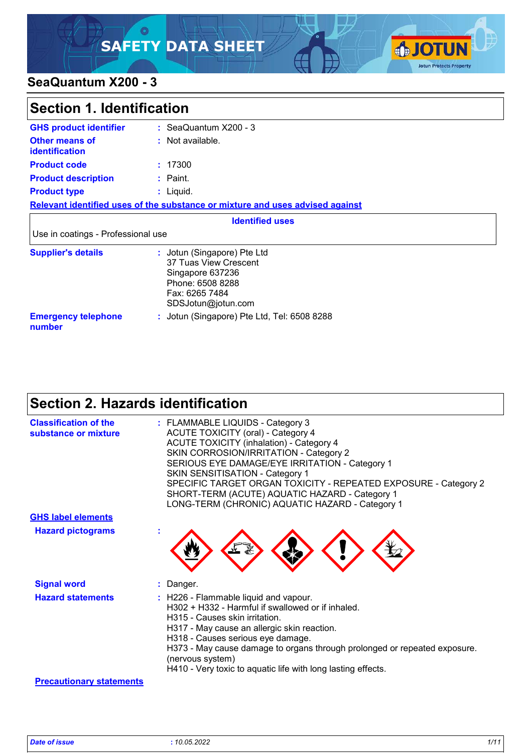### ୍ଠ **SAFETY DATA SHEET**



### **SeaQuantum X200 - 3**

| <b>Section 1. Identification</b>        |                                                                                                                                      |  |
|-----------------------------------------|--------------------------------------------------------------------------------------------------------------------------------------|--|
| <b>GHS product identifier</b>           | $:$ SeaQuantum $X200 - 3$                                                                                                            |  |
| Other means of<br><b>identification</b> | : Not available.                                                                                                                     |  |
| <b>Product code</b>                     | : 17300                                                                                                                              |  |
| <b>Product description</b>              | $:$ Paint.                                                                                                                           |  |
| <b>Product type</b>                     | $:$ Liquid.                                                                                                                          |  |
|                                         | Relevant identified uses of the substance or mixture and uses advised against                                                        |  |
|                                         | <b>Identified uses</b>                                                                                                               |  |
| Use in coatings - Professional use      |                                                                                                                                      |  |
| <b>Supplier's details</b>               | : Jotun (Singapore) Pte Ltd<br>37 Tuas View Crescent<br>Singapore 637236<br>Phone: 6508 8288<br>Fax: 6265 7484<br>SDSJotun@jotun.com |  |
| <b>Emergency telephone</b><br>number    | : Jotun (Singapore) Pte Ltd, Tel: 6508 8288                                                                                          |  |

## **Section 2. Hazards identification**

| <b>Classification of the</b><br>substance or mixture | : FLAMMABLE LIQUIDS - Category 3<br><b>ACUTE TOXICITY (oral) - Category 4</b><br><b>ACUTE TOXICITY (inhalation) - Category 4</b><br>SKIN CORROSION/IRRITATION - Category 2<br>SERIOUS EYE DAMAGE/EYE IRRITATION - Category 1<br><b>SKIN SENSITISATION - Category 1</b><br>SPECIFIC TARGET ORGAN TOXICITY - REPEATED EXPOSURE - Category 2<br>SHORT-TERM (ACUTE) AQUATIC HAZARD - Category 1<br>LONG-TERM (CHRONIC) AQUATIC HAZARD - Category 1 |
|------------------------------------------------------|------------------------------------------------------------------------------------------------------------------------------------------------------------------------------------------------------------------------------------------------------------------------------------------------------------------------------------------------------------------------------------------------------------------------------------------------|
| <b>GHS label elements</b>                            |                                                                                                                                                                                                                                                                                                                                                                                                                                                |
| <b>Hazard pictograms</b>                             |                                                                                                                                                                                                                                                                                                                                                                                                                                                |
| <b>Signal word</b>                                   | : Danger.                                                                                                                                                                                                                                                                                                                                                                                                                                      |
| <b>Hazard statements</b>                             | : H226 - Flammable liquid and vapour.<br>H302 + H332 - Harmful if swallowed or if inhaled.<br>H315 - Causes skin irritation.<br>H317 - May cause an allergic skin reaction.<br>H318 - Causes serious eye damage.<br>H373 - May cause damage to organs through prolonged or repeated exposure.<br>(nervous system)<br>H410 - Very toxic to aquatic life with long lasting effects.                                                              |
| <b>Precautionary statements</b>                      |                                                                                                                                                                                                                                                                                                                                                                                                                                                |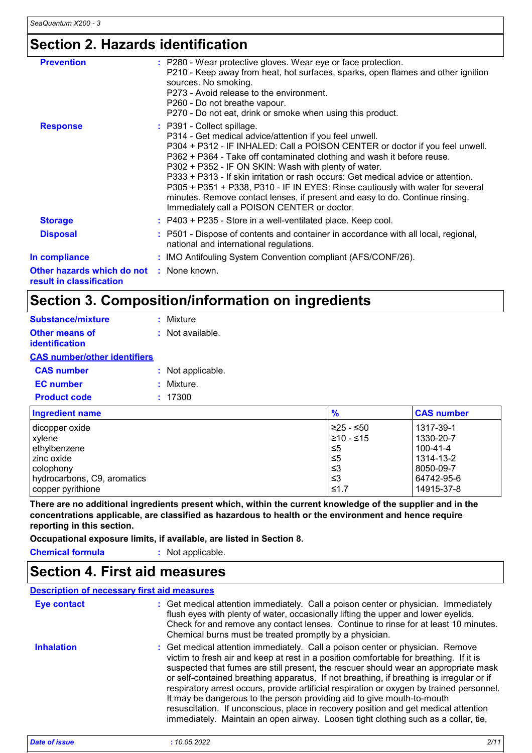# **Section 2. Hazards identification**

| <b>Prevention</b>                                                    | : P280 - Wear protective gloves. Wear eye or face protection.<br>P210 - Keep away from heat, hot surfaces, sparks, open flames and other ignition<br>sources. No smoking.<br>P273 - Avoid release to the environment.<br>P260 - Do not breathe vapour.<br>P270 - Do not eat, drink or smoke when using this product.                                                                                                                                                                                                                                                                                          |
|----------------------------------------------------------------------|---------------------------------------------------------------------------------------------------------------------------------------------------------------------------------------------------------------------------------------------------------------------------------------------------------------------------------------------------------------------------------------------------------------------------------------------------------------------------------------------------------------------------------------------------------------------------------------------------------------|
| <b>Response</b>                                                      | : P391 - Collect spillage.<br>P314 - Get medical advice/attention if you feel unwell.<br>P304 + P312 - IF INHALED: Call a POISON CENTER or doctor if you feel unwell.<br>P362 + P364 - Take off contaminated clothing and wash it before reuse.<br>P302 + P352 - IF ON SKIN: Wash with plenty of water.<br>P333 + P313 - If skin irritation or rash occurs: Get medical advice or attention.<br>P305 + P351 + P338, P310 - IF IN EYES: Rinse cautiously with water for several<br>minutes. Remove contact lenses, if present and easy to do. Continue rinsing.<br>Immediately call a POISON CENTER or doctor. |
| <b>Storage</b>                                                       | : P403 + P235 - Store in a well-ventilated place. Keep cool.                                                                                                                                                                                                                                                                                                                                                                                                                                                                                                                                                  |
| <b>Disposal</b>                                                      | : P501 - Dispose of contents and container in accordance with all local, regional,<br>national and international regulations.                                                                                                                                                                                                                                                                                                                                                                                                                                                                                 |
| In compliance                                                        | : IMO Antifouling System Convention compliant (AFS/CONF/26).                                                                                                                                                                                                                                                                                                                                                                                                                                                                                                                                                  |
| Other hazards which do not : None known.<br>result in classification |                                                                                                                                                                                                                                                                                                                                                                                                                                                                                                                                                                                                               |

## **Section 3. Composition/information on ingredients**

| <b>Substance/mixture</b>                | : Mixture          |
|-----------------------------------------|--------------------|
| <b>Other means of</b><br>identification | $:$ Not available. |
| <b>CAS number/other identifiers</b>     |                    |
| <b>CAS number</b>                       | : Not applicable.  |
| <b>EC</b> number                        | : Mixture.         |
| <b>Product code</b>                     | : 17300            |
|                                         |                    |

| <b>Ingredient name</b>      | $\frac{9}{6}$   | <b>CAS number</b> |
|-----------------------------|-----------------|-------------------|
| dicopper oxide              | $≥25 - ≤50$     | 1317-39-1         |
| xylene                      | $\geq 10 - 515$ | 1330-20-7         |
| ethylbenzene                | 1≤5             | $100 - 41 - 4$    |
| l zinc oxide                | ≤5              | 1314-13-2         |
| l colophonv                 | ∣≤3             | 8050-09-7         |
| hydrocarbons, C9, aromatics | ∣≤3             | 64742-95-6        |
| copper pyrithione           | $≤1.7$          | 14915-37-8        |

**There are no additional ingredients present which, within the current knowledge of the supplier and in the concentrations applicable, are classified as hazardous to health or the environment and hence require reporting in this section.**

**Occupational exposure limits, if available, are listed in Section 8.**

**Chemical formula :** Not applicable.

### **Section 4. First aid measures**

#### Get medical attention immediately. Call a poison center or physician. Immediately **:** flush eyes with plenty of water, occasionally lifting the upper and lower eyelids. Check for and remove any contact lenses. Continue to rinse for at least 10 minutes. Chemical burns must be treated promptly by a physician. Get medical attention immediately. Call a poison center or physician. Remove victim to fresh air and keep at rest in a position comfortable for breathing. If it is suspected that fumes are still present, the rescuer should wear an appropriate mask or self-contained breathing apparatus. If not breathing, if breathing is irregular or if respiratory arrest occurs, provide artificial respiration or oxygen by trained personnel. It may be dangerous to the person providing aid to give mouth-to-mouth resuscitation. If unconscious, place in recovery position and get medical attention immediately. Maintain an open airway. Loosen tight clothing such as a collar, tie, **Eye contact Inhalation : Description of necessary first aid measures** *Date of issue* **:** *10.05.2022 2/11*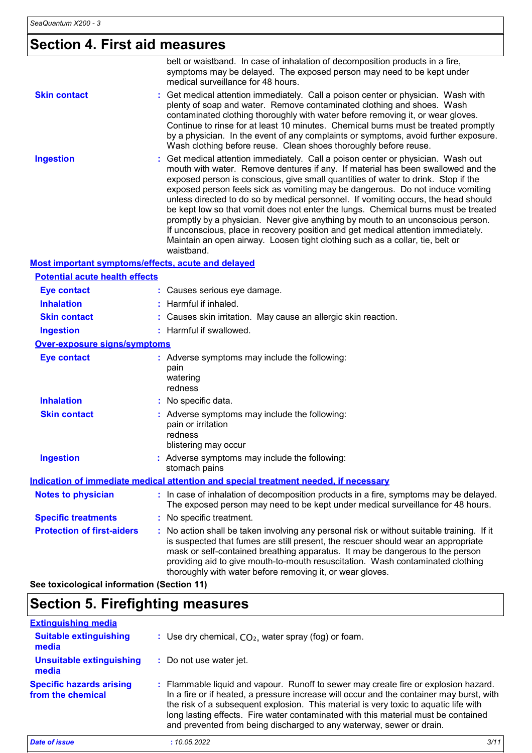## **Section 4. First aid measures**

|                                                    | belt or waistband. In case of inhalation of decomposition products in a fire,<br>symptoms may be delayed. The exposed person may need to be kept under<br>medical surveillance for 48 hours.                                                                                                                                                                                                                                                                                                                                                                                                                                                                                                                                                                                                 |
|----------------------------------------------------|----------------------------------------------------------------------------------------------------------------------------------------------------------------------------------------------------------------------------------------------------------------------------------------------------------------------------------------------------------------------------------------------------------------------------------------------------------------------------------------------------------------------------------------------------------------------------------------------------------------------------------------------------------------------------------------------------------------------------------------------------------------------------------------------|
| <b>Skin contact</b>                                | Get medical attention immediately. Call a poison center or physician. Wash with<br>plenty of soap and water. Remove contaminated clothing and shoes. Wash<br>contaminated clothing thoroughly with water before removing it, or wear gloves.<br>Continue to rinse for at least 10 minutes. Chemical burns must be treated promptly<br>by a physician. In the event of any complaints or symptoms, avoid further exposure.<br>Wash clothing before reuse. Clean shoes thoroughly before reuse.                                                                                                                                                                                                                                                                                                |
| <b>Ingestion</b>                                   | Get medical attention immediately. Call a poison center or physician. Wash out<br>mouth with water. Remove dentures if any. If material has been swallowed and the<br>exposed person is conscious, give small quantities of water to drink. Stop if the<br>exposed person feels sick as vomiting may be dangerous. Do not induce vomiting<br>unless directed to do so by medical personnel. If vomiting occurs, the head should<br>be kept low so that vomit does not enter the lungs. Chemical burns must be treated<br>promptly by a physician. Never give anything by mouth to an unconscious person.<br>If unconscious, place in recovery position and get medical attention immediately.<br>Maintain an open airway. Loosen tight clothing such as a collar, tie, belt or<br>waistband. |
| Most important symptoms/effects, acute and delayed |                                                                                                                                                                                                                                                                                                                                                                                                                                                                                                                                                                                                                                                                                                                                                                                              |
| <b>Potential acute health effects</b>              |                                                                                                                                                                                                                                                                                                                                                                                                                                                                                                                                                                                                                                                                                                                                                                                              |
| <b>Eye contact</b>                                 | : Causes serious eye damage.                                                                                                                                                                                                                                                                                                                                                                                                                                                                                                                                                                                                                                                                                                                                                                 |
| <b>Inhalation</b>                                  | : Harmful if inhaled.                                                                                                                                                                                                                                                                                                                                                                                                                                                                                                                                                                                                                                                                                                                                                                        |
| <b>Skin contact</b>                                | : Causes skin irritation. May cause an allergic skin reaction.                                                                                                                                                                                                                                                                                                                                                                                                                                                                                                                                                                                                                                                                                                                               |
| <b>Ingestion</b>                                   | : Harmful if swallowed.                                                                                                                                                                                                                                                                                                                                                                                                                                                                                                                                                                                                                                                                                                                                                                      |
| <b>Over-exposure signs/symptoms</b>                |                                                                                                                                                                                                                                                                                                                                                                                                                                                                                                                                                                                                                                                                                                                                                                                              |
| <b>Eye contact</b>                                 | : Adverse symptoms may include the following:<br>pain<br>watering<br>redness                                                                                                                                                                                                                                                                                                                                                                                                                                                                                                                                                                                                                                                                                                                 |
| <b>Inhalation</b>                                  | : No specific data.                                                                                                                                                                                                                                                                                                                                                                                                                                                                                                                                                                                                                                                                                                                                                                          |
| <b>Skin contact</b>                                | : Adverse symptoms may include the following:<br>pain or irritation<br>redness<br>blistering may occur                                                                                                                                                                                                                                                                                                                                                                                                                                                                                                                                                                                                                                                                                       |
| <b>Ingestion</b>                                   | : Adverse symptoms may include the following:<br>stomach pains                                                                                                                                                                                                                                                                                                                                                                                                                                                                                                                                                                                                                                                                                                                               |
|                                                    | Indication of immediate medical attention and special treatment needed, if necessary                                                                                                                                                                                                                                                                                                                                                                                                                                                                                                                                                                                                                                                                                                         |
| <b>Notes to physician</b>                          | : In case of inhalation of decomposition products in a fire, symptoms may be delayed.<br>The exposed person may need to be kept under medical surveillance for 48 hours.                                                                                                                                                                                                                                                                                                                                                                                                                                                                                                                                                                                                                     |
| <b>Specific treatments</b>                         | : No specific treatment.                                                                                                                                                                                                                                                                                                                                                                                                                                                                                                                                                                                                                                                                                                                                                                     |
| <b>Protection of first-aiders</b>                  | : No action shall be taken involving any personal risk or without suitable training. If it<br>is suspected that fumes are still present, the rescuer should wear an appropriate<br>mask or self-contained breathing apparatus. It may be dangerous to the person<br>providing aid to give mouth-to-mouth resuscitation. Wash contaminated clothing<br>thoroughly with water before removing it, or wear gloves.                                                                                                                                                                                                                                                                                                                                                                              |

**See toxicological information (Section 11)**

### **Section 5. Firefighting measures**

| <b>Extinguishing media</b>                           |                                                                                                                                                                                                                                                                                                                                                                                                                                       |
|------------------------------------------------------|---------------------------------------------------------------------------------------------------------------------------------------------------------------------------------------------------------------------------------------------------------------------------------------------------------------------------------------------------------------------------------------------------------------------------------------|
| <b>Suitable extinguishing</b><br>media               | : Use dry chemical, $CO2$ , water spray (fog) or foam.                                                                                                                                                                                                                                                                                                                                                                                |
| <b>Unsuitable extinguishing</b><br>media             | : Do not use water jet.                                                                                                                                                                                                                                                                                                                                                                                                               |
| <b>Specific hazards arising</b><br>from the chemical | : Flammable liquid and vapour. Runoff to sewer may create fire or explosion hazard.<br>In a fire or if heated, a pressure increase will occur and the container may burst, with<br>the risk of a subsequent explosion. This material is very toxic to aquatic life with<br>long lasting effects. Fire water contaminated with this material must be contained<br>and prevented from being discharged to any waterway, sewer or drain. |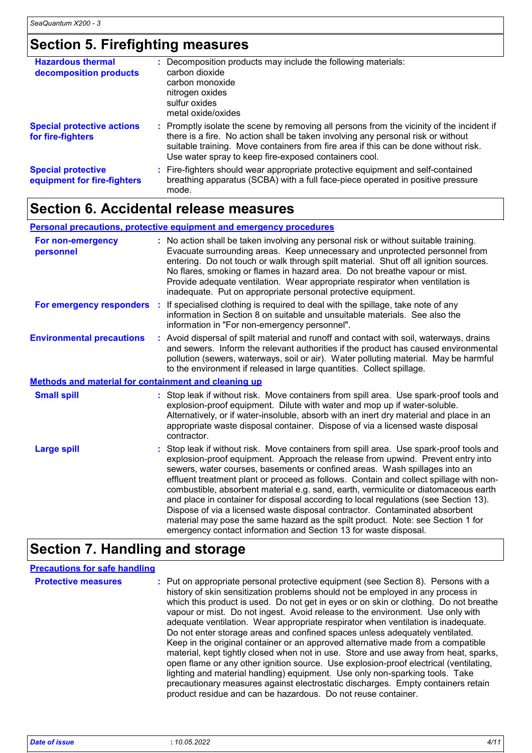# **Section 5. Firefighting measures**

| <b>Hazardous thermal</b><br>decomposition products       | : Decomposition products may include the following materials:<br>carbon dioxide<br>carbon monoxide<br>nitrogen oxides<br>sulfur oxides<br>metal oxide/oxides                                                                                                                                                                  |
|----------------------------------------------------------|-------------------------------------------------------------------------------------------------------------------------------------------------------------------------------------------------------------------------------------------------------------------------------------------------------------------------------|
| <b>Special protective actions</b><br>for fire-fighters   | : Promptly isolate the scene by removing all persons from the vicinity of the incident if<br>there is a fire. No action shall be taken involving any personal risk or without<br>suitable training. Move containers from fire area if this can be done without risk.<br>Use water spray to keep fire-exposed containers cool. |
| <b>Special protective</b><br>equipment for fire-fighters | : Fire-fighters should wear appropriate protective equipment and self-contained<br>breathing apparatus (SCBA) with a full face-piece operated in positive pressure<br>mode.                                                                                                                                                   |

## **Section 6. Accidental release measures**

#### **Personal precautions, protective equipment and emergency procedures**

| For non-emergency<br>personnel                       | : No action shall be taken involving any personal risk or without suitable training.<br>Evacuate surrounding areas. Keep unnecessary and unprotected personnel from<br>entering. Do not touch or walk through spilt material. Shut off all ignition sources.<br>No flares, smoking or flames in hazard area. Do not breathe vapour or mist.<br>Provide adequate ventilation. Wear appropriate respirator when ventilation is<br>inadequate. Put on appropriate personal protective equipment.                                                                                                                                                                                                                                                                           |
|------------------------------------------------------|-------------------------------------------------------------------------------------------------------------------------------------------------------------------------------------------------------------------------------------------------------------------------------------------------------------------------------------------------------------------------------------------------------------------------------------------------------------------------------------------------------------------------------------------------------------------------------------------------------------------------------------------------------------------------------------------------------------------------------------------------------------------------|
| For emergency responders :                           | If specialised clothing is required to deal with the spillage, take note of any<br>information in Section 8 on suitable and unsuitable materials. See also the<br>information in "For non-emergency personnel".                                                                                                                                                                                                                                                                                                                                                                                                                                                                                                                                                         |
| <b>Environmental precautions</b>                     | : Avoid dispersal of spilt material and runoff and contact with soil, waterways, drains<br>and sewers. Inform the relevant authorities if the product has caused environmental<br>pollution (sewers, waterways, soil or air). Water polluting material. May be harmful<br>to the environment if released in large quantities. Collect spillage.                                                                                                                                                                                                                                                                                                                                                                                                                         |
| Methods and material for containment and cleaning up |                                                                                                                                                                                                                                                                                                                                                                                                                                                                                                                                                                                                                                                                                                                                                                         |
| <b>Small spill</b>                                   | : Stop leak if without risk. Move containers from spill area. Use spark-proof tools and<br>explosion-proof equipment. Dilute with water and mop up if water-soluble.<br>Alternatively, or if water-insoluble, absorb with an inert dry material and place in an<br>appropriate waste disposal container. Dispose of via a licensed waste disposal<br>contractor.                                                                                                                                                                                                                                                                                                                                                                                                        |
| <b>Large spill</b>                                   | : Stop leak if without risk. Move containers from spill area. Use spark-proof tools and<br>explosion-proof equipment. Approach the release from upwind. Prevent entry into<br>sewers, water courses, basements or confined areas. Wash spillages into an<br>effluent treatment plant or proceed as follows. Contain and collect spillage with non-<br>combustible, absorbent material e.g. sand, earth, vermiculite or diatomaceous earth<br>and place in container for disposal according to local regulations (see Section 13).<br>Dispose of via a licensed waste disposal contractor. Contaminated absorbent<br>material may pose the same hazard as the spilt product. Note: see Section 1 for<br>emergency contact information and Section 13 for waste disposal. |

## **Section 7. Handling and storage**

| <b>Precautions for safe handling</b> |                                                                                                                                                                                                                                                                                                                                                                                                                                                                                                                                                                                                                                                                                                                                                                                                                                                                                                                                                                                                                                 |
|--------------------------------------|---------------------------------------------------------------------------------------------------------------------------------------------------------------------------------------------------------------------------------------------------------------------------------------------------------------------------------------------------------------------------------------------------------------------------------------------------------------------------------------------------------------------------------------------------------------------------------------------------------------------------------------------------------------------------------------------------------------------------------------------------------------------------------------------------------------------------------------------------------------------------------------------------------------------------------------------------------------------------------------------------------------------------------|
| <b>Protective measures</b>           | : Put on appropriate personal protective equipment (see Section 8). Persons with a<br>history of skin sensitization problems should not be employed in any process in<br>which this product is used. Do not get in eyes or on skin or clothing. Do not breathe<br>vapour or mist. Do not ingest. Avoid release to the environment. Use only with<br>adequate ventilation. Wear appropriate respirator when ventilation is inadequate.<br>Do not enter storage areas and confined spaces unless adequately ventilated.<br>Keep in the original container or an approved alternative made from a compatible<br>material, kept tightly closed when not in use. Store and use away from heat, sparks,<br>open flame or any other ignition source. Use explosion-proof electrical (ventilating,<br>lighting and material handling) equipment. Use only non-sparking tools. Take<br>precautionary measures against electrostatic discharges. Empty containers retain<br>product residue and can be hazardous. Do not reuse container. |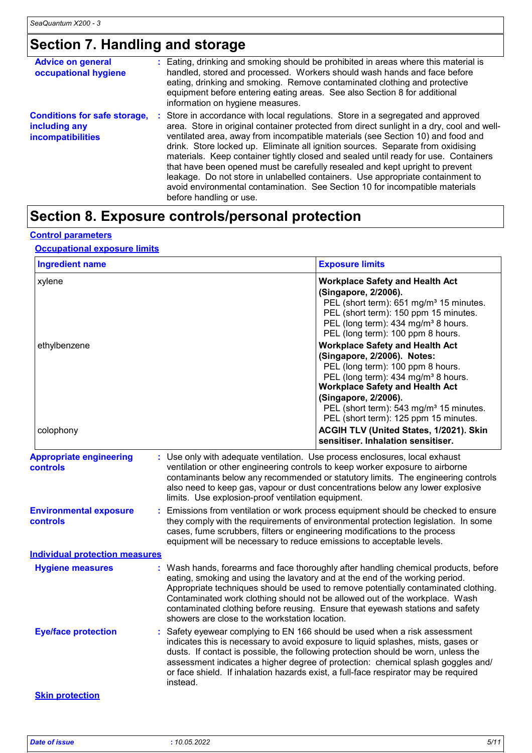# **Section 7. Handling and storage**

| <b>Advice on general</b><br>occupational hygiene                                 | : Eating, drinking and smoking should be prohibited in areas where this material is<br>handled, stored and processed. Workers should wash hands and face before<br>eating, drinking and smoking. Remove contaminated clothing and protective<br>equipment before entering eating areas. See also Section 8 for additional<br>information on hygiene measures.                                                                                                                                                                                                                                                                                                                                                           |
|----------------------------------------------------------------------------------|-------------------------------------------------------------------------------------------------------------------------------------------------------------------------------------------------------------------------------------------------------------------------------------------------------------------------------------------------------------------------------------------------------------------------------------------------------------------------------------------------------------------------------------------------------------------------------------------------------------------------------------------------------------------------------------------------------------------------|
| <b>Conditions for safe storage,</b><br>including any<br><b>incompatibilities</b> | : Store in accordance with local regulations. Store in a segregated and approved<br>area. Store in original container protected from direct sunlight in a dry, cool and well-<br>ventilated area, away from incompatible materials (see Section 10) and food and<br>drink. Store locked up. Eliminate all ignition sources. Separate from oxidising<br>materials. Keep container tightly closed and sealed until ready for use. Containers<br>that have been opened must be carefully resealed and kept upright to prevent<br>leakage. Do not store in unlabelled containers. Use appropriate containment to<br>avoid environmental contamination. See Section 10 for incompatible materials<br>before handling or use. |

## **Section 8. Exposure controls/personal protection**

#### **Control parameters**

#### **Occupational exposure limits**

|                                            |                                                                                                                                   | <b>Exposure limits</b>                                                                                                                                                                                                                                                                                                                                                                                                                                                                    |  |  |
|--------------------------------------------|-----------------------------------------------------------------------------------------------------------------------------------|-------------------------------------------------------------------------------------------------------------------------------------------------------------------------------------------------------------------------------------------------------------------------------------------------------------------------------------------------------------------------------------------------------------------------------------------------------------------------------------------|--|--|
| xylene<br>ethylbenzene                     |                                                                                                                                   | <b>Workplace Safety and Health Act</b><br>(Singapore, 2/2006).<br>PEL (short term): 651 mg/m <sup>3</sup> 15 minutes.<br>PEL (short term): 150 ppm 15 minutes.<br>PEL (long term): 434 mg/m <sup>3</sup> 8 hours.<br>PEL (long term): 100 ppm 8 hours.<br><b>Workplace Safety and Health Act</b><br>(Singapore, 2/2006). Notes:<br>PEL (long term): 100 ppm 8 hours.<br>PEL (long term): 434 mg/m <sup>3</sup> 8 hours.<br><b>Workplace Safety and Health Act</b><br>(Singapore, 2/2006). |  |  |
| colophony                                  |                                                                                                                                   | PEL (short term): 543 mg/m <sup>3</sup> 15 minutes.<br>PEL (short term): 125 ppm 15 minutes.<br>ACGIH TLV (United States, 1/2021). Skin<br>sensitiser. Inhalation sensitiser.                                                                                                                                                                                                                                                                                                             |  |  |
| <b>Appropriate engineering</b><br>controls | : Use only with adequate ventilation. Use process enclosures, local exhaust<br>limits. Use explosion-proof ventilation equipment. | ventilation or other engineering controls to keep worker exposure to airborne<br>contaminants below any recommended or statutory limits. The engineering controls<br>also need to keep gas, vapour or dust concentrations below any lower explosive                                                                                                                                                                                                                                       |  |  |
| <b>Environmental exposure</b><br>controls  |                                                                                                                                   | Emissions from ventilation or work process equipment should be checked to ensure<br>they comply with the requirements of environmental protection legislation. In some<br>cases, fume scrubbers, filters or engineering modifications to the process<br>equipment will be necessary to reduce emissions to acceptable levels.                                                                                                                                                             |  |  |
| <b>Individual protection measures</b>      |                                                                                                                                   |                                                                                                                                                                                                                                                                                                                                                                                                                                                                                           |  |  |
| <b>Hygiene measures</b>                    | showers are close to the workstation location.                                                                                    | : Wash hands, forearms and face thoroughly after handling chemical products, before<br>eating, smoking and using the lavatory and at the end of the working period.<br>Appropriate techniques should be used to remove potentially contaminated clothing.<br>Contaminated work clothing should not be allowed out of the workplace. Wash<br>contaminated clothing before reusing. Ensure that eyewash stations and safety                                                                 |  |  |
| <b>Eye/face protection</b>                 |                                                                                                                                   | : Safety eyewear complying to EN 166 should be used when a risk assessment<br>indicates this is necessary to avoid exposure to liquid splashes, mists, gases or<br>dusts. If contact is possible, the following protection should be worn, unless the<br>assessment indicates a higher degree of protection: chemical splash goggles and/<br>or face shield. If inhalation hazards exist, a full-face respirator may be required                                                          |  |  |
|                                            | instead.                                                                                                                          |                                                                                                                                                                                                                                                                                                                                                                                                                                                                                           |  |  |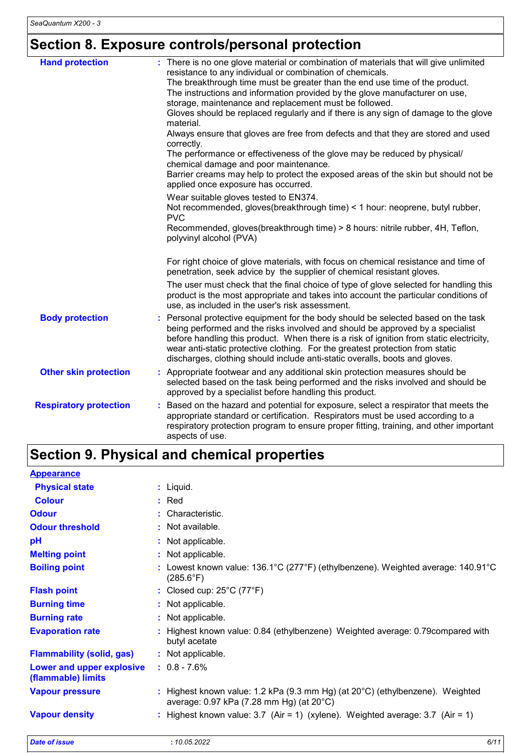# **Section 8. Exposure controls/personal protection**

| <b>Hand protection</b>        | : There is no one glove material or combination of materials that will give unlimited<br>resistance to any individual or combination of chemicals.<br>The breakthrough time must be greater than the end use time of the product.<br>The instructions and information provided by the glove manufacturer on use,<br>storage, maintenance and replacement must be followed.<br>Gloves should be replaced regularly and if there is any sign of damage to the glove<br>material.<br>Always ensure that gloves are free from defects and that they are stored and used<br>correctly.<br>The performance or effectiveness of the glove may be reduced by physical/<br>chemical damage and poor maintenance.<br>Barrier creams may help to protect the exposed areas of the skin but should not be<br>applied once exposure has occurred.<br>Wear suitable gloves tested to EN374.<br>Not recommended, gloves(breakthrough time) < 1 hour: neoprene, butyl rubber,<br><b>PVC</b><br>Recommended, gloves(breakthrough time) > 8 hours: nitrile rubber, 4H, Teflon,<br>polyvinyl alcohol (PVA) |
|-------------------------------|-----------------------------------------------------------------------------------------------------------------------------------------------------------------------------------------------------------------------------------------------------------------------------------------------------------------------------------------------------------------------------------------------------------------------------------------------------------------------------------------------------------------------------------------------------------------------------------------------------------------------------------------------------------------------------------------------------------------------------------------------------------------------------------------------------------------------------------------------------------------------------------------------------------------------------------------------------------------------------------------------------------------------------------------------------------------------------------------|
|                               | For right choice of glove materials, with focus on chemical resistance and time of<br>penetration, seek advice by the supplier of chemical resistant gloves.<br>The user must check that the final choice of type of glove selected for handling this<br>product is the most appropriate and takes into account the particular conditions of<br>use, as included in the user's risk assessment.                                                                                                                                                                                                                                                                                                                                                                                                                                                                                                                                                                                                                                                                                         |
| <b>Body protection</b>        | Personal protective equipment for the body should be selected based on the task<br>being performed and the risks involved and should be approved by a specialist<br>before handling this product. When there is a risk of ignition from static electricity,<br>wear anti-static protective clothing. For the greatest protection from static<br>discharges, clothing should include anti-static overalls, boots and gloves.                                                                                                                                                                                                                                                                                                                                                                                                                                                                                                                                                                                                                                                             |
| <b>Other skin protection</b>  | : Appropriate footwear and any additional skin protection measures should be<br>selected based on the task being performed and the risks involved and should be<br>approved by a specialist before handling this product.                                                                                                                                                                                                                                                                                                                                                                                                                                                                                                                                                                                                                                                                                                                                                                                                                                                               |
| <b>Respiratory protection</b> | Based on the hazard and potential for exposure, select a respirator that meets the<br>appropriate standard or certification. Respirators must be used according to a<br>respiratory protection program to ensure proper fitting, training, and other important<br>aspects of use.                                                                                                                                                                                                                                                                                                                                                                                                                                                                                                                                                                                                                                                                                                                                                                                                       |

## **Section 9. Physical and chemical properties**

| <b>Appearance</b>                               |                                                                                                                                       |
|-------------------------------------------------|---------------------------------------------------------------------------------------------------------------------------------------|
| <b>Physical state</b>                           | : Liquid.                                                                                                                             |
| <b>Colour</b>                                   | $:$ Red                                                                                                                               |
| <b>Odour</b>                                    | : Characteristic.                                                                                                                     |
| <b>Odour threshold</b>                          | : Not available.                                                                                                                      |
| рH                                              | : Not applicable.                                                                                                                     |
| <b>Melting point</b>                            | : Not applicable.                                                                                                                     |
| <b>Boiling point</b>                            | : Lowest known value: $136.1^{\circ}$ C (277 $^{\circ}$ F) (ethylbenzene). Weighted average: $140.91^{\circ}$ C<br>$(285.6^{\circ}F)$ |
| <b>Flash point</b>                              | : Closed cup: $25^{\circ}$ C (77 $^{\circ}$ F)                                                                                        |
| <b>Burning time</b>                             | : Not applicable.                                                                                                                     |
| <b>Burning rate</b>                             | : Not applicable.                                                                                                                     |
| <b>Evaporation rate</b>                         | : Highest known value: 0.84 (ethylbenzene) Weighted average: 0.79 compared with<br>butyl acetate                                      |
| <b>Flammability (solid, gas)</b>                | : Not applicable.                                                                                                                     |
| Lower and upper explosive<br>(flammable) limits | $: 0.8 - 7.6\%$                                                                                                                       |
| <b>Vapour pressure</b>                          | : Highest known value: 1.2 kPa (9.3 mm Hg) (at $20^{\circ}$ C) (ethylbenzene). Weighted<br>average: 0.97 kPa (7.28 mm Hg) (at 20°C)   |
| <b>Vapour density</b>                           | : Highest known value: $3.7$ (Air = 1) (xylene). Weighted average: $3.7$ (Air = 1)                                                    |
| <b>Date of issue</b>                            | 6/11<br>: 10.05.2022                                                                                                                  |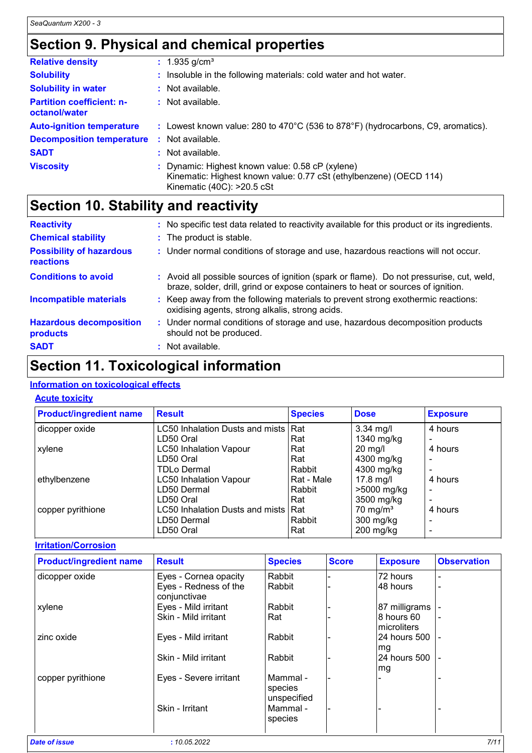## **Section 9. Physical and chemical properties**

| <b>Relative density</b>                           |     | $: 1.935$ g/cm <sup>3</sup>                                                                                                                          |  |  |  |
|---------------------------------------------------|-----|------------------------------------------------------------------------------------------------------------------------------------------------------|--|--|--|
| <b>Solubility</b>                                 |     | Insoluble in the following materials: cold water and hot water.                                                                                      |  |  |  |
| <b>Solubility in water</b>                        |     | $:$ Not available.                                                                                                                                   |  |  |  |
| <b>Partition coefficient: n-</b><br>octanol/water |     | : Not available.                                                                                                                                     |  |  |  |
| <b>Auto-ignition temperature</b>                  |     | : Lowest known value: 280 to $470^{\circ}$ C (536 to 878 $^{\circ}$ F) (hydrocarbons, C9, aromatics).                                                |  |  |  |
| <b>Decomposition temperature</b>                  | -11 | Not available.                                                                                                                                       |  |  |  |
| <b>SADT</b>                                       | ÷.  | Not available.                                                                                                                                       |  |  |  |
| <b>Viscosity</b>                                  |     | : Dynamic: Highest known value: 0.58 cP (xylene)<br>Kinematic: Highest known value: 0.77 cSt (ethylbenzene) (OECD 114)<br>Kinematic (40C): >20.5 cSt |  |  |  |

## **Section 10. Stability and reactivity**

| <b>Reactivity</b>                            | : No specific test data related to reactivity available for this product or its ingredients.                                                                                 |
|----------------------------------------------|------------------------------------------------------------------------------------------------------------------------------------------------------------------------------|
| <b>Chemical stability</b>                    | : The product is stable.                                                                                                                                                     |
| <b>Possibility of hazardous</b><br>reactions | : Under normal conditions of storage and use, hazardous reactions will not occur.                                                                                            |
| <b>Conditions to avoid</b>                   | : Avoid all possible sources of ignition (spark or flame). Do not pressurise, cut, weld,<br>braze, solder, drill, grind or expose containers to heat or sources of ignition. |
| <b>Incompatible materials</b>                | : Keep away from the following materials to prevent strong exothermic reactions:<br>oxidising agents, strong alkalis, strong acids.                                          |
| <b>Hazardous decomposition</b><br>products   | : Under normal conditions of storage and use, hazardous decomposition products<br>should not be produced.                                                                    |
| <b>SADT</b>                                  | : Not available.                                                                                                                                                             |

## **Section 11. Toxicological information**

#### **Information on toxicological effects**

#### **Acute toxicity**

| <b>Product/ingredient name</b> | <b>Result</b>                       | <b>Species</b> | <b>Dose</b>          | <b>Exposure</b> |
|--------------------------------|-------------------------------------|----------------|----------------------|-----------------|
| dicopper oxide                 | LC50 Inhalation Dusts and mists Rat |                | $3.34$ mg/l          | 4 hours         |
|                                | LD50 Oral                           | Rat            | 1340 mg/kg           |                 |
| xylene                         | <b>LC50 Inhalation Vapour</b>       | Rat            | $20$ mg/l            | 4 hours         |
|                                | LD50 Oral                           | Rat            | 4300 mg/kg           |                 |
|                                | <b>TDLo Dermal</b>                  | Rabbit         | 4300 mg/kg           |                 |
| ethylbenzene                   | <b>LC50 Inhalation Vapour</b>       | Rat - Male     | $17.8$ mg/l          | 4 hours         |
|                                | LD50 Dermal                         | Rabbit         | >5000 mg/kg          | -               |
|                                | LD50 Oral                           | Rat            | 3500 mg/kg           | $\equiv$        |
| copper pyrithione              | LC50 Inhalation Dusts and mists Rat |                | 70 mg/m <sup>3</sup> | 4 hours         |
|                                | LD50 Dermal                         | Rabbit         | $300$ mg/kg          |                 |
|                                | LD50 Oral                           | Rat            | $200$ mg/kg          |                 |

**Irritation/Corrosion**

| <b>Product/ingredient name</b> | <b>Result</b>                         | <b>Species</b>                    | <b>Score</b> | <b>Exposure</b>            | <b>Observation</b> |
|--------------------------------|---------------------------------------|-----------------------------------|--------------|----------------------------|--------------------|
| dicopper oxide                 | Eyes - Cornea opacity                 | Rabbit                            |              | 72 hours                   |                    |
|                                | Eyes - Redness of the<br>conjunctivae | Rabbit                            |              | 48 hours                   |                    |
| xylene                         | Eyes - Mild irritant                  | Rabbit                            |              | 87 milligrams              |                    |
|                                | Skin - Mild irritant                  | Rat                               |              | 8 hours 60<br>Imicroliters | ۰                  |
| zinc oxide                     | Eyes - Mild irritant                  | Rabbit                            |              | 24 hours 500<br>mg         | $\blacksquare$     |
|                                | Skin - Mild irritant                  | Rabbit                            |              | 24 hours 500<br>mg         |                    |
| copper pyrithione              | Eyes - Severe irritant                | Mammal-<br>species<br>unspecified |              |                            |                    |
|                                | Skin - Irritant                       | Mammal-<br>species                |              |                            |                    |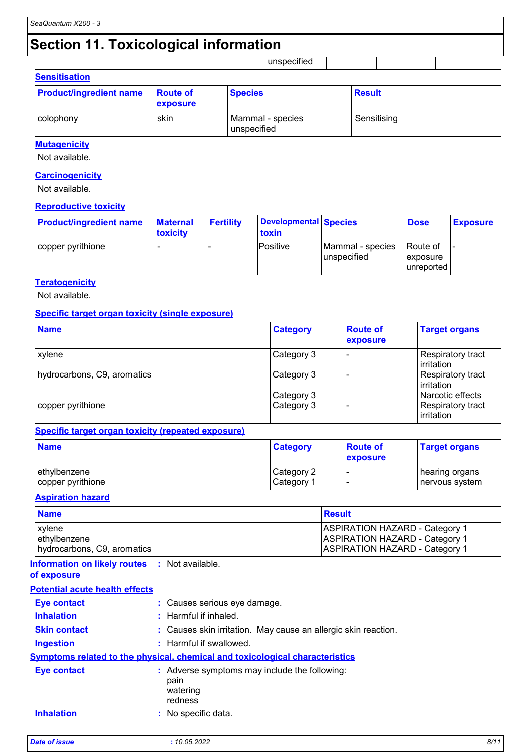## **Section 11. Toxicological information**

|                                        | . .<br>. |  |  |
|----------------------------------------|----------|--|--|
| $\sim$<br>-<br>- -<br>---------------- |          |  |  |

| <b>SUBILISATION</b>            |                             |                                 |               |  |
|--------------------------------|-----------------------------|---------------------------------|---------------|--|
| <b>Product/ingredient name</b> | <b>Route of</b><br>exposure | <b>Species</b>                  | <b>Result</b> |  |
| colophony                      | skin                        | Mammal - species<br>unspecified | Sensitising   |  |

#### **Mutagenicity**

Not available.

#### **Carcinogenicity**

Not available.

#### **Reproductive toxicity**

| <b>Product/ingredient name</b> | <b>Maternal</b><br>toxicity | <b>Fertility</b> | Developmental Species<br>toxin |                                   | <b>Dose</b>                                | <b>Exposure</b> |
|--------------------------------|-----------------------------|------------------|--------------------------------|-----------------------------------|--------------------------------------------|-----------------|
| copper pyrithione              |                             |                  | Positive                       | Mammal - species<br>l unspecified | Route of<br><b>exposure</b><br>lunreported |                 |

#### **Teratogenicity**

Not available.

#### **Specific target organ toxicity (single exposure)**

| <b>Name</b>                 | <b>Category</b> | <b>Route of</b><br>exposure | <b>Target organs</b>                   |
|-----------------------------|-----------------|-----------------------------|----------------------------------------|
| xylene                      | Category 3      |                             | Respiratory tract<br>irritation        |
| hydrocarbons, C9, aromatics | Category 3      |                             | <b>Respiratory tract</b><br>irritation |
|                             | Category 3      |                             | Narcotic effects                       |
| copper pyrithione           | Category 3      |                             | Respiratory tract<br>irritation        |

#### **Specific target organ toxicity (repeated exposure)**

| <b>Name</b>       | <b>Category</b>        | <b>Route of</b><br>exposure | <b>Target organs</b> |
|-------------------|------------------------|-----------------------------|----------------------|
| ethylbenzene      | Category 2             |                             | hearing organs       |
| copper pyrithione | ∣Category <sup>1</sup> |                             | nervous system       |

#### **Aspiration hazard**

| <b>Name</b>                 | <b>Result</b>                         |
|-----------------------------|---------------------------------------|
| <b>xylene</b>               | <b>ASPIRATION HAZARD - Category 1</b> |
| ethylbenzene                | <b>ASPIRATION HAZARD - Category 1</b> |
| hydrocarbons, C9, aromatics | <b>ASPIRATION HAZARD - Category 1</b> |

#### **Information on likely routes :** Not available. **of exposure**

| <b>Potential acute health effects</b> |  |  |
|---------------------------------------|--|--|

| : Causes serious eye damage.                                                 |
|------------------------------------------------------------------------------|
| $:$ Harmful if inhaled.                                                      |
| : Causes skin irritation. May cause an allergic skin reaction.               |
| : Harmful if swallowed.                                                      |
| Symptoms related to the physical, chemical and toxicological characteristics |
| : Adverse symptoms may include the following:<br>pain<br>watering<br>redness |
| : No specific data.                                                          |
|                                                                              |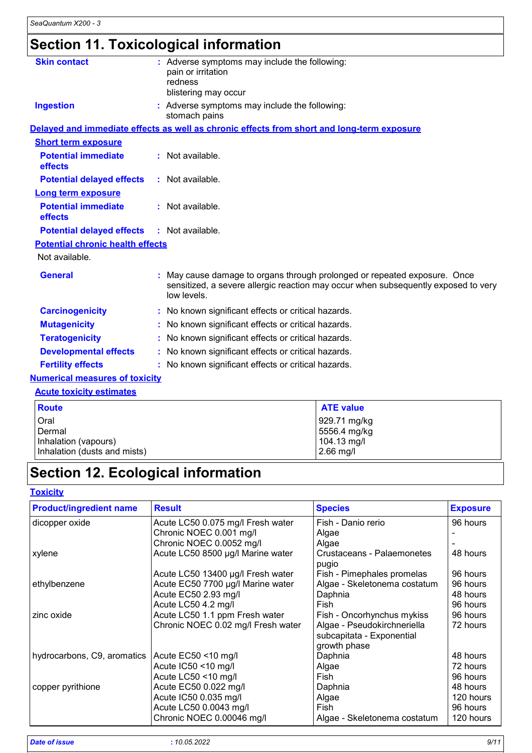# **Section 11. Toxicological information**

| <b>Skin contact</b>                     | : Adverse symptoms may include the following:<br>pain or irritation<br>redness<br>blistering may occur                                                                       |
|-----------------------------------------|------------------------------------------------------------------------------------------------------------------------------------------------------------------------------|
| <b>Ingestion</b>                        | : Adverse symptoms may include the following:<br>stomach pains                                                                                                               |
|                                         | Delayed and immediate effects as well as chronic effects from short and long-term exposure                                                                                   |
| <b>Short term exposure</b>              |                                                                                                                                                                              |
| <b>Potential immediate</b><br>effects   | : Not available.                                                                                                                                                             |
| <b>Potential delayed effects</b>        | : Not available.                                                                                                                                                             |
| <b>Long term exposure</b>               |                                                                                                                                                                              |
| <b>Potential immediate</b><br>effects   | : Not available.                                                                                                                                                             |
| <b>Potential delayed effects</b>        | : Not available.                                                                                                                                                             |
| <b>Potential chronic health effects</b> |                                                                                                                                                                              |
| Not available.                          |                                                                                                                                                                              |
| <b>General</b>                          | May cause damage to organs through prolonged or repeated exposure. Once<br>sensitized, a severe allergic reaction may occur when subsequently exposed to very<br>low levels. |
| <b>Carcinogenicity</b>                  | : No known significant effects or critical hazards.                                                                                                                          |
| <b>Mutagenicity</b>                     | : No known significant effects or critical hazards.                                                                                                                          |
| <b>Teratogenicity</b>                   | : No known significant effects or critical hazards.                                                                                                                          |
| <b>Developmental effects</b>            | : No known significant effects or critical hazards.                                                                                                                          |
| <b>Fertility effects</b>                | : No known significant effects or critical hazards.                                                                                                                          |
| <b>Numerical measures of toxicity</b>   |                                                                                                                                                                              |
| <b>Acute toxicity estimates</b>         |                                                                                                                                                                              |

| <b>Route</b>                 | <b>ATE value</b> |
|------------------------------|------------------|
| Oral                         | 929.71 mg/kg     |
| Dermal                       | 5556.4 mg/kg     |
| Inhalation (vapours)         | 104.13 mg/l      |
| Inhalation (dusts and mists) | $2.66$ mg/l      |

# **Section 12. Ecological information**

#### **Toxicity**

| <b>Product/ingredient name</b> | <b>Result</b>                      | <b>Species</b>                      | <b>Exposure</b> |
|--------------------------------|------------------------------------|-------------------------------------|-----------------|
| dicopper oxide                 | Acute LC50 0.075 mg/l Fresh water  | Fish - Danio rerio                  | 96 hours        |
|                                | Chronic NOEC 0.001 mg/l            | Algae                               |                 |
|                                | Chronic NOEC 0.0052 mg/l           | Algae                               |                 |
| xylene                         | Acute LC50 8500 µg/l Marine water  | Crustaceans - Palaemonetes<br>pugio | 48 hours        |
|                                | Acute LC50 13400 µg/l Fresh water  | Fish - Pimephales promelas          | 96 hours        |
| ethylbenzene                   | Acute EC50 7700 µg/l Marine water  | Algae - Skeletonema costatum        | 96 hours        |
|                                | Acute EC50 2.93 mg/l               | Daphnia                             | 48 hours        |
|                                | Acute LC50 4.2 mg/l                | Fish                                | 96 hours        |
| zinc oxide                     | Acute LC50 1.1 ppm Fresh water     | Fish - Oncorhynchus mykiss          | 96 hours        |
|                                | Chronic NOEC 0.02 mg/l Fresh water | Algae - Pseudokirchneriella         | 72 hours        |
|                                |                                    | subcapitata - Exponential           |                 |
|                                |                                    | growth phase                        |                 |
| hydrocarbons, C9, aromatics    | Acute EC50 <10 mg/l                | Daphnia                             | 48 hours        |
|                                | Acute IC50 <10 mg/l                | Algae                               | 72 hours        |
|                                | Acute LC50 <10 mg/l                | Fish                                | 96 hours        |
| copper pyrithione              | Acute EC50 0.022 mg/l              | Daphnia                             | 48 hours        |
|                                | Acute IC50 0.035 mg/l              | Algae                               | 120 hours       |
|                                | Acute LC50 0.0043 mg/l             | Fish                                | 96 hours        |
|                                | Chronic NOEC 0.00046 mg/l          | Algae - Skeletonema costatum        | 120 hours       |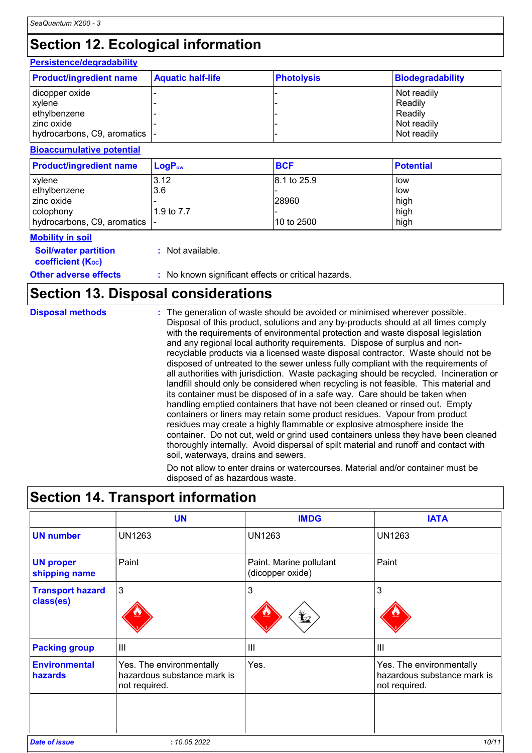# **Section 12. Ecological information**

### **Persistence/degradability**

| <b>Product/ingredient name</b> | <b>Aquatic half-life</b> | <b>Photolysis</b> | <b>Biodegradability</b> |
|--------------------------------|--------------------------|-------------------|-------------------------|
| dicopper oxide                 |                          |                   | Not readily             |
| <b>xylene</b>                  |                          |                   | Readily                 |
| ethylbenzene                   |                          |                   | Readily                 |
| l zinc oxide                   |                          |                   | Not readily             |
| hydrocarbons, C9, aromatics  - |                          |                   | Not readily             |

#### **Bioaccumulative potential**

| <b>Product/ingredient name</b> | $LoaPow$   | <b>BCF</b>  | <b>Potential</b> |
|--------------------------------|------------|-------------|------------------|
| <b>xylene</b>                  | 3.12       | 8.1 to 25.9 | low              |
| ethylbenzene                   | 3.6        |             | low              |
| I zinc oxide                   |            | 28960       | high             |
| colophony                      | 1.9 to 7.7 |             | high             |
| hydrocarbons, C9, aromatics  - |            | 10 to 2500  | high             |

#### **Mobility in soil**

**Soil/water partition** 

**coefficient (Koc)** 

**:** Not available.

#### **Other adverse effects** : No known significant effects or critical hazards.

### **Section 13. Disposal considerations**

| <b>Disposal methods</b> | : The generation of waste should be avoided or minimised wherever possible.<br>Disposal of this product, solutions and any by-products should at all times comply<br>with the requirements of environmental protection and waste disposal legislation<br>and any regional local authority requirements. Dispose of surplus and non-<br>recyclable products via a licensed waste disposal contractor. Waste should not be<br>disposed of untreated to the sewer unless fully compliant with the requirements of<br>all authorities with jurisdiction. Waste packaging should be recycled. Incineration or<br>landfill should only be considered when recycling is not feasible. This material and<br>its container must be disposed of in a safe way. Care should be taken when<br>handling emptied containers that have not been cleaned or rinsed out. Empty<br>containers or liners may retain some product residues. Vapour from product<br>residues may create a highly flammable or explosive atmosphere inside the<br>container. Do not cut, weld or grind used containers unless they have been cleaned |
|-------------------------|----------------------------------------------------------------------------------------------------------------------------------------------------------------------------------------------------------------------------------------------------------------------------------------------------------------------------------------------------------------------------------------------------------------------------------------------------------------------------------------------------------------------------------------------------------------------------------------------------------------------------------------------------------------------------------------------------------------------------------------------------------------------------------------------------------------------------------------------------------------------------------------------------------------------------------------------------------------------------------------------------------------------------------------------------------------------------------------------------------------|
|                         | thoroughly internally. Avoid dispersal of spilt material and runoff and contact with<br>soil, waterways, drains and sewers.                                                                                                                                                                                                                                                                                                                                                                                                                                                                                                                                                                                                                                                                                                                                                                                                                                                                                                                                                                                    |

Do not allow to enter drains or watercourses. Material and/or container must be disposed of as hazardous waste.

## **Section 14. Transport information**

|                                      | <b>UN</b>                                                                | <b>IMDG</b>                                 | <b>IATA</b>                                                              |
|--------------------------------------|--------------------------------------------------------------------------|---------------------------------------------|--------------------------------------------------------------------------|
| <b>UN number</b>                     | <b>UN1263</b>                                                            | <b>UN1263</b>                               | <b>UN1263</b>                                                            |
| <b>UN proper</b><br>shipping name    | Paint                                                                    | Paint. Marine pollutant<br>(dicopper oxide) | Paint                                                                    |
| <b>Transport hazard</b><br>class(es) | 3                                                                        | 3<br>¥2                                     | 3                                                                        |
| <b>Packing group</b>                 | Ш                                                                        | $\mathbf{III}$                              | $\mathbf{III}$                                                           |
| <b>Environmental</b><br>hazards      | Yes. The environmentally<br>hazardous substance mark is<br>not required. | Yes.                                        | Yes. The environmentally<br>hazardous substance mark is<br>not required. |
| <b>Date of issue</b>                 | : 10.05.2022                                                             |                                             | 10/11                                                                    |